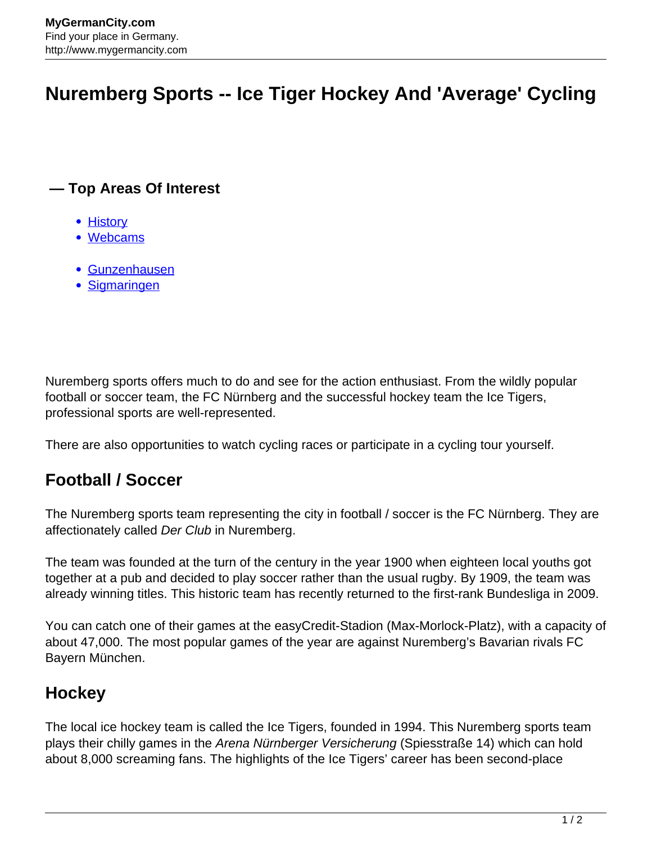# **Nuremberg Sports -- Ice Tiger Hockey And 'Average' Cycling**

#### **— Top Areas Of Interest**

- [History](http://www.mygermancity.com/leipzig-history)
- [Webcams](http://www.mygermancity.com/neustadt-holstein-webcams)
- [Gunzenhausen](http://www.mygermancity.com/gunzenhausen)
- [Sigmaringen](http://www.mygermancity.com/sigmaringen)

Nuremberg sports offers much to do and see for the action enthusiast. From the wildly popular football or soccer team, the FC Nürnberg and the successful hockey team the Ice Tigers, professional sports are well-represented.

There are also opportunities to watch cycling races or participate in a cycling tour yourself.

### **Football / Soccer**

The Nuremberg sports team representing the city in football / soccer is the FC Nürnberg. They are affectionately called Der Club in Nuremberg.

The team was founded at the turn of the century in the year 1900 when eighteen local youths got together at a pub and decided to play soccer rather than the usual rugby. By 1909, the team was already winning titles. This historic team has recently returned to the first-rank Bundesliga in 2009.

You can catch one of their games at the easyCredit-Stadion (Max-Morlock-Platz), with a capacity of about 47,000. The most popular games of the year are against Nuremberg's Bavarian rivals FC Bayern München.

#### **Hockey**

The local ice hockey team is called the Ice Tigers, founded in 1994. This Nuremberg sports team plays their chilly games in the Arena Nürnberger Versicherung (Spiesstraße 14) which can hold about 8,000 screaming fans. The highlights of the Ice Tigers' career has been second-place